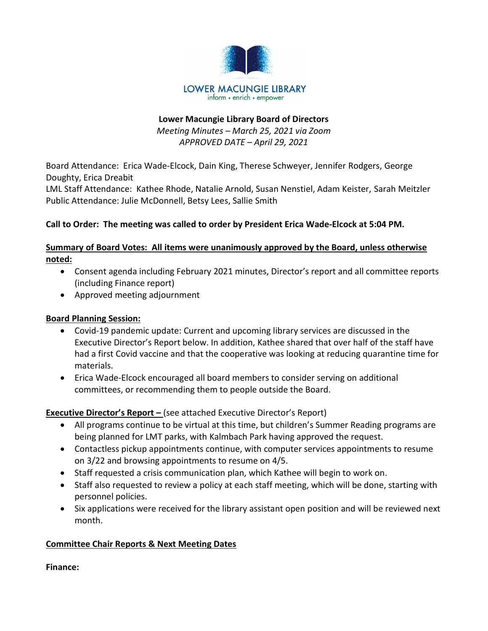

## Lower Macungie Library Board of Directors Meeting Minutes – March 25, 2021 via Zoom APPROVED DATE – April 29, 2021

Board Attendance: Erica Wade-Elcock, Dain King, Therese Schweyer, Jennifer Rodgers, George Doughty, Erica Dreabit

LML Staff Attendance: Kathee Rhode, Natalie Arnold, Susan Nenstiel, Adam Keister, Sarah Meitzler Public Attendance: Julie McDonnell, Betsy Lees, Sallie Smith

## Call to Order: The meeting was called to order by President Erica Wade-Elcock at 5:04 PM.

## Summary of Board Votes: All items were unanimously approved by the Board, unless otherwise noted:

- Consent agenda including February 2021 minutes, Director's report and all committee reports (including Finance report)
- Approved meeting adjournment

## Board Planning Session:

- Covid-19 pandemic update: Current and upcoming library services are discussed in the Executive Director's Report below. In addition, Kathee shared that over half of the staff have had a first Covid vaccine and that the cooperative was looking at reducing quarantine time for materials.
- Erica Wade-Elcock encouraged all board members to consider serving on additional committees, or recommending them to people outside the Board.

## Executive Director's Report – (see attached Executive Director's Report)

- All programs continue to be virtual at this time, but children's Summer Reading programs are being planned for LMT parks, with Kalmbach Park having approved the request.
- Contactless pickup appointments continue, with computer services appointments to resume on 3/22 and browsing appointments to resume on 4/5.
- Staff requested a crisis communication plan, which Kathee will begin to work on.
- Staff also requested to review a policy at each staff meeting, which will be done, starting with personnel policies.
- Six applications were received for the library assistant open position and will be reviewed next month.

# Committee Chair Reports & Next Meeting Dates

Finance: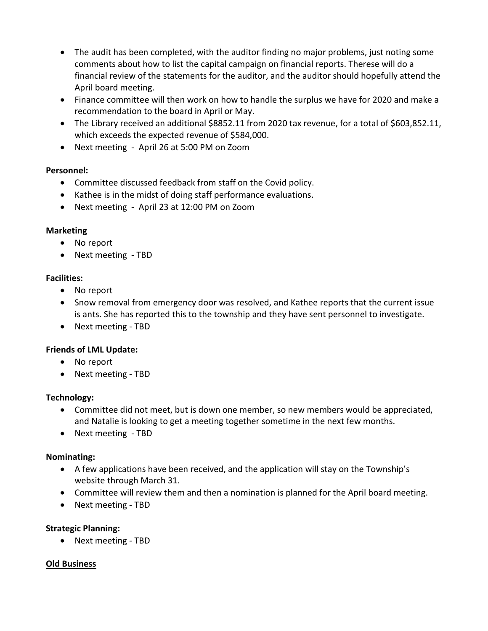- The audit has been completed, with the auditor finding no major problems, just noting some comments about how to list the capital campaign on financial reports. Therese will do a financial review of the statements for the auditor, and the auditor should hopefully attend the April board meeting.
- Finance committee will then work on how to handle the surplus we have for 2020 and make a recommendation to the board in April or May.
- The Library received an additional \$8852.11 from 2020 tax revenue, for a total of \$603,852.11, which exceeds the expected revenue of \$584,000.
- Next meeting April 26 at 5:00 PM on Zoom

## Personnel:

- Committee discussed feedback from staff on the Covid policy.
- Kathee is in the midst of doing staff performance evaluations.
- Next meeting April 23 at 12:00 PM on Zoom

## Marketing

- No report
- Next meeting TBD

## Facilities:

- No report
- Snow removal from emergency door was resolved, and Kathee reports that the current issue is ants. She has reported this to the township and they have sent personnel to investigate.
- Next meeting TBD

## Friends of LML Update:

- No report
- Next meeting TBD

## Technology:

- Committee did not meet, but is down one member, so new members would be appreciated, and Natalie is looking to get a meeting together sometime in the next few months.
- Next meeting TBD

## Nominating:

- A few applications have been received, and the application will stay on the Township's website through March 31.
- Committee will review them and then a nomination is planned for the April board meeting.
- Next meeting TBD

# Strategic Planning:

• Next meeting - TBD

## Old Business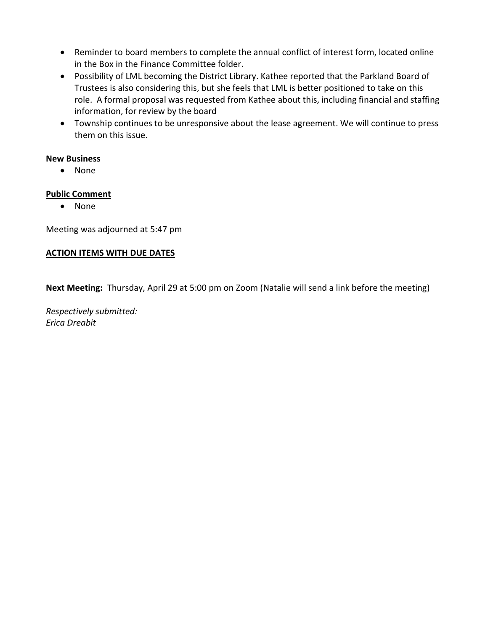- Reminder to board members to complete the annual conflict of interest form, located online in the Box in the Finance Committee folder.
- Possibility of LML becoming the District Library. Kathee reported that the Parkland Board of Trustees is also considering this, but she feels that LML is better positioned to take on this role. A formal proposal was requested from Kathee about this, including financial and staffing information, for review by the board
- Township continues to be unresponsive about the lease agreement. We will continue to press them on this issue.

#### New Business

• None

#### Public Comment

• None

Meeting was adjourned at 5:47 pm

#### ACTION ITEMS WITH DUE DATES

Next Meeting: Thursday, April 29 at 5:00 pm on Zoom (Natalie will send a link before the meeting)

Respectively submitted: Erica Dreabit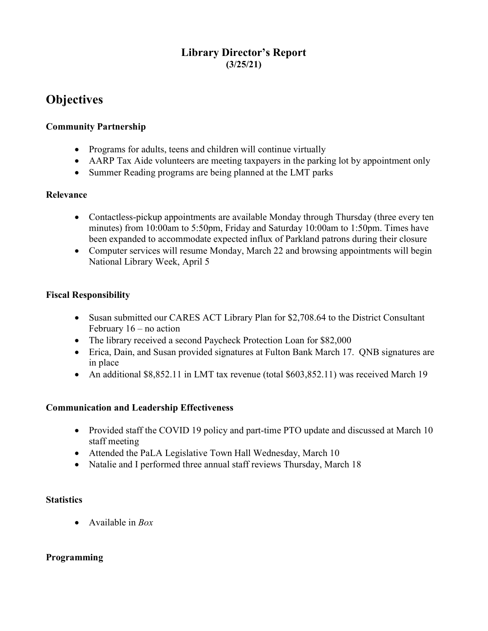# Library Director's Report (3/25/21)

# **Objectives**

## Community Partnership

- Programs for adults, teens and children will continue virtually
- AARP Tax Aide volunteers are meeting taxpayers in the parking lot by appointment only
- Summer Reading programs are being planned at the LMT parks

### Relevance

- Contactless-pickup appointments are available Monday through Thursday (three every ten minutes) from 10:00am to 5:50pm, Friday and Saturday 10:00am to 1:50pm. Times have been expanded to accommodate expected influx of Parkland patrons during their closure
- Computer services will resume Monday, March 22 and browsing appointments will begin National Library Week, April 5

## Fiscal Responsibility

- Susan submitted our CARES ACT Library Plan for \$2,708.64 to the District Consultant February 16 – no action
- The library received a second Paycheck Protection Loan for \$82,000
- Erica, Dain, and Susan provided signatures at Fulton Bank March 17. QNB signatures are in place
- An additional \$8,852.11 in LMT tax revenue (total \$603,852.11) was received March 19

## Communication and Leadership Effectiveness

- Provided staff the COVID 19 policy and part-time PTO update and discussed at March 10 staff meeting
- Attended the PaLA Legislative Town Hall Wednesday, March 10
- Natalie and I performed three annual staff reviews Thursday, March 18

## **Statistics**

• Available in  $Box$ 

## Programming